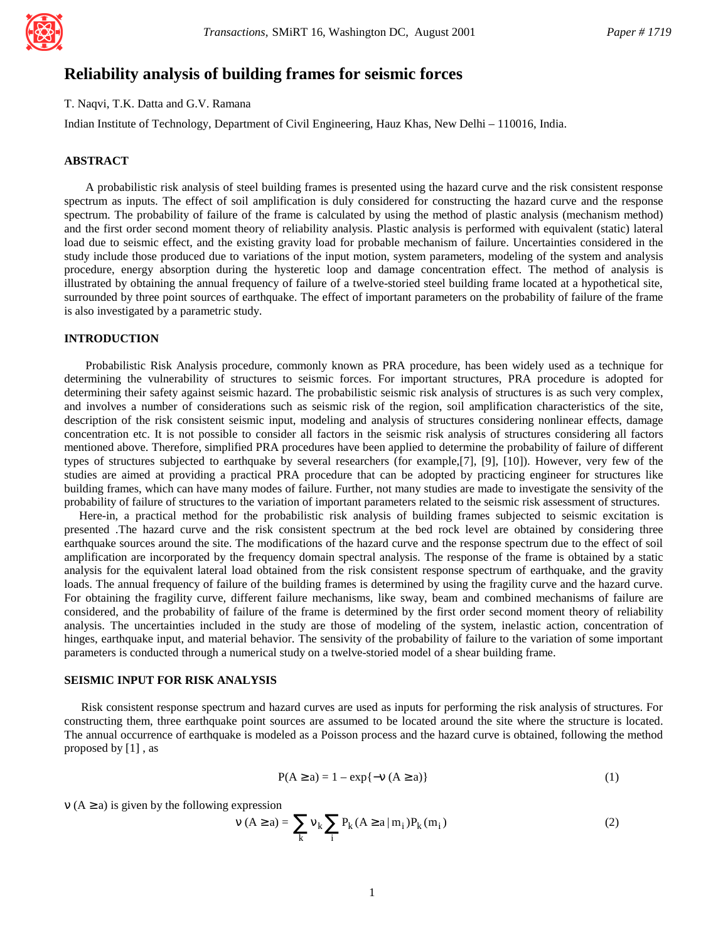

# **Reliability analysis of building frames for seismic forces**

T. Naqvi, T.K. Datta and G.V. Ramana

Indian Institute of Technology, Department of Civil Engineering, Hauz Khas, New Delhi – 110016, India.

## **ABSTRACT**

A probabilistic risk analysis of steel building frames is presented using the hazard curve and the risk consistent response spectrum as inputs. The effect of soil amplification is duly considered for constructing the hazard curve and the response spectrum. The probability of failure of the frame is calculated by using the method of plastic analysis (mechanism method) and the first order second moment theory of reliability analysis. Plastic analysis is performed with equivalent (static) lateral load due to seismic effect, and the existing gravity load for probable mechanism of failure. Uncertainties considered in the study include those produced due to variations of the input motion, system parameters, modeling of the system and analysis procedure, energy absorption during the hysteretic loop and damage concentration effect. The method of analysis is illustrated by obtaining the annual frequency of failure of a twelve-storied steel building frame located at a hypothetical site, surrounded by three point sources of earthquake. The effect of important parameters on the probability of failure of the frame is also investigated by a parametric study.

## **INTRODUCTION**

Probabilistic Risk Analysis procedure, commonly known as PRA procedure, has been widely used as a technique for determining the vulnerability of structures to seismic forces. For important structures, PRA procedure is adopted for determining their safety against seismic hazard. The probabilistic seismic risk analysis of structures is as such very complex, and involves a number of considerations such as seismic risk of the region, soil amplification characteristics of the site, description of the risk consistent seismic input, modeling and analysis of structures considering nonlinear effects, damage concentration etc. It is not possible to consider all factors in the seismic risk analysis of structures considering all factors mentioned above. Therefore, simplified PRA procedures have been applied to determine the probability of failure of different types of structures subjected to earthquake by several researchers (for example,[7], [9], [10]). However, very few of the studies are aimed at providing a practical PRA procedure that can be adopted by practicing engineer for structures like building frames, which can have many modes of failure. Further, not many studies are made to investigate the sensivity of the probability of failure of structures to the variation of important parameters related to the seismic risk assessment of structures.

 Here-in, a practical method for the probabilistic risk analysis of building frames subjected to seismic excitation is presented .The hazard curve and the risk consistent spectrum at the bed rock level are obtained by considering three earthquake sources around the site. The modifications of the hazard curve and the response spectrum due to the effect of soil amplification are incorporated by the frequency domain spectral analysis. The response of the frame is obtained by a static analysis for the equivalent lateral load obtained from the risk consistent response spectrum of earthquake, and the gravity loads. The annual frequency of failure of the building frames is determined by using the fragility curve and the hazard curve. For obtaining the fragility curve, different failure mechanisms, like sway, beam and combined mechanisms of failure are considered, and the probability of failure of the frame is determined by the first order second moment theory of reliability analysis. The uncertainties included in the study are those of modeling of the system, inelastic action, concentration of hinges, earthquake input, and material behavior. The sensivity of the probability of failure to the variation of some important parameters is conducted through a numerical study on a twelve-storied model of a shear building frame.

## **SEISMIC INPUT FOR RISK ANALYSIS**

 Risk consistent response spectrum and hazard curves are used as inputs for performing the risk analysis of structures. For constructing them, three earthquake point sources are assumed to be located around the site where the structure is located. The annual occurrence of earthquake is modeled as a Poisson process and the hazard curve is obtained, following the method proposed by [1] , as

$$
P(A \ge a) = 1 - \exp\{-v \ (A \ge a)\}\tag{1}
$$

 $v(A \ge a)$  is given by the following expression

$$
v (A \ge a) = \sum_{k} v_{k} \sum_{i} P_{k} (A \ge a | m_{i}) P_{k} (m_{i})
$$
 (2)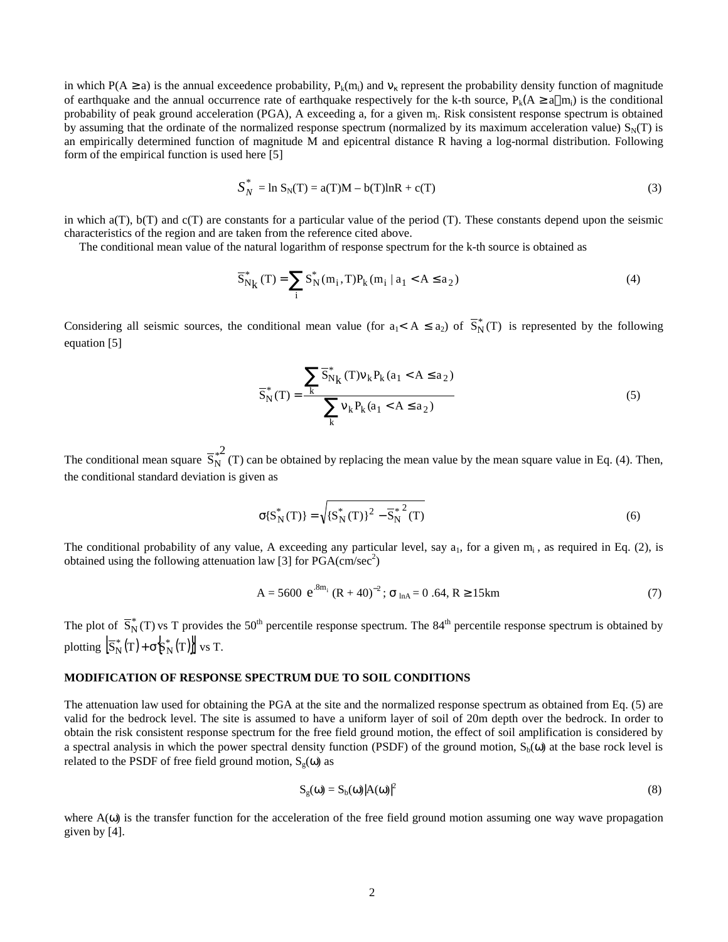in which  $P(A \ge a)$  is the annual exceedence probability,  $P_k(m_i)$  and  $v_k$  represent the probability density function of magnitude of earthquake and the annual occurrence rate of earthquake respectively for the k-th source,  $P_k(A \ge a | m_i)$  is the conditional probability of peak ground acceleration (PGA), A exceeding a, for a given m<sub>i</sub>. Risk consistent response spectrum is obtained by assuming that the ordinate of the normalized response spectrum (normalized by its maximum acceleration value)  $S<sub>N</sub>(T)$  is an empirically determined function of magnitude M and epicentral distance R having a log-normal distribution. Following form of the empirical function is used here [5]

$$
S_N^* = \ln S_N(T) = a(T)M - b(T)\ln R + c(T)
$$
\n(3)

in which  $a(T)$ ,  $b(T)$  and  $c(T)$  are constants for a particular value of the period (T). These constants depend upon the seismic characteristics of the region and are taken from the reference cited above.

The conditional mean value of the natural logarithm of response spectrum for the k-th source is obtained as

$$
\overline{S}_{Nk}^{*}(T) = \sum_{i} S_{N}^{*}(m_{i}, T) P_{k}(m_{i} | a_{1} < A \le a_{2})
$$
\n(4)

Considering all seismic sources, the conditional mean value (for  $a_1 < A \le a_2$ ) of  $\overline{S}_N^*(T)$  is represented by the following equation [5]

$$
\overline{S}_{N}^{*}(T) = \frac{\sum_{k} \overline{S}_{N_{k}}^{*}(T)v_{k}P_{k}(a_{1} < A \le a_{2})}{\sum_{k} v_{k}P_{k}(a_{1} < A \le a_{2})}
$$
(5)

The conditional mean square  $S_N^{\uparrow}$  (T) 2  $\overline{S_N^*}^2$  (T) can be obtained by replacing the mean value by the mean square value in Eq. (4). Then, the conditional standard deviation is given as

$$
\sigma\{S_N^*(T)\} = \sqrt{\{S_N^*(T)\}^2 - \overline{S_N^*}^2(T)}
$$
(6)

The conditional probability of any value, A exceeding any particular level, say  $a_1$ , for a given  $m_i$ , as required in Eq. (2), is obtained using the following attenuation law [3] for  $\text{PGA}(cm/\text{sec}^2)$ 

$$
A = 5600 e^{8m_i} (R + 40)^{-2}; \sigma_{lnA} = 0.64, R \ge 15km
$$
 (7)

The plot of  $\overline{S}_N^*(T)$  vs T provides the 50<sup>th</sup> percentile response spectrum. The 84<sup>th</sup> percentile response spectrum is obtained by plotting  $\left[\overline{S}_{N}^{*}(T)+\sigma_{N}^{*}(T)\right]$  vs T.

## **MODIFICATION OF RESPONSE SPECTRUM DUE TO SOIL CONDITIONS**

The attenuation law used for obtaining the PGA at the site and the normalized response spectrum as obtained from Eq. (5) are valid for the bedrock level. The site is assumed to have a uniform layer of soil of 20m depth over the bedrock. In order to obtain the risk consistent response spectrum for the free field ground motion, the effect of soil amplification is considered by a spectral analysis in which the power spectral density function (PSDF) of the ground motion,  $S_b(\omega)$  at the base rock level is related to the PSDF of free field ground motion,  $S<sub>o</sub>(ω)$  as

$$
S_g(\omega) = S_b(\omega)|A(\omega)|^2 \tag{8}
$$

where  $A(\omega)$  is the transfer function for the acceleration of the free field ground motion assuming one way wave propagation given by [4].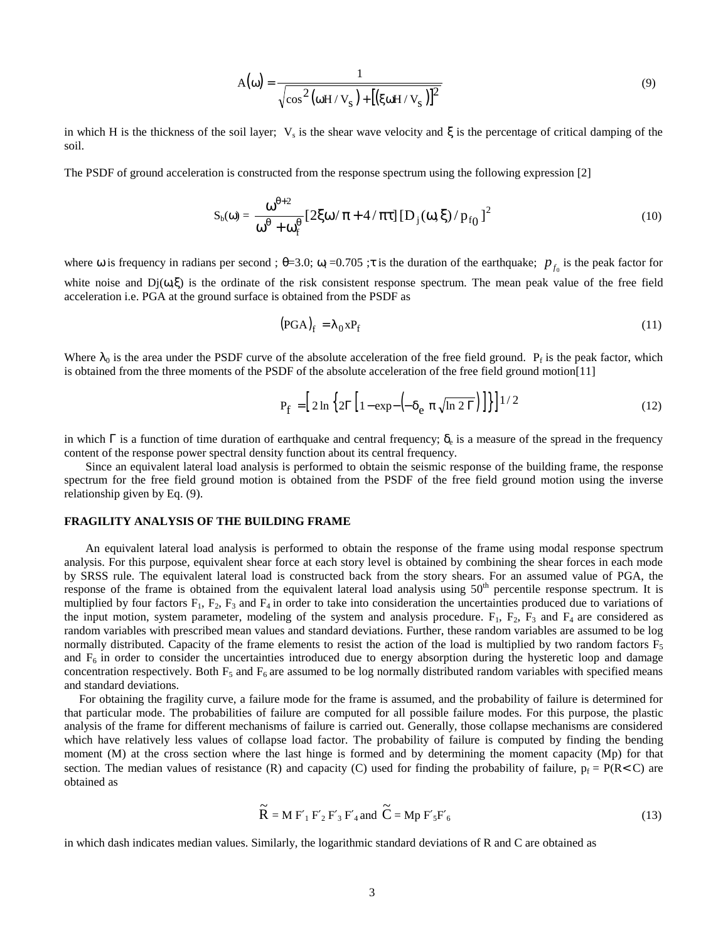$$
A(\omega) = \frac{1}{\sqrt{\cos^2(\omega H/V_s) + [(\xi \omega H/V_s)]^2}}
$$
(9)

in which H is the thickness of the soil layer;  $V_s$  is the shear wave velocity and  $\xi$  is the percentage of critical damping of the soil.

The PSDF of ground acceleration is constructed from the response spectrum using the following expression [2]

$$
S_b(\omega) = \frac{\omega^{\theta+2}}{\omega^{\theta} + \omega_f^{\theta}} \left[ 2\xi\omega/\pi + 4/\pi\tau \right] \left[ D_j(\omega, \xi)/p_{f_0} \right]^2 \tag{10}
$$

where  $\omega$  is frequency in radians per second;  $\theta = 3.0$ ;  $\omega_f = 0.705$ ;  $\tau$  is the duration of the earthquake;  $p_{f_0}$  is the peak factor for white noise and  $Dj(\omega,\xi)$  is the ordinate of the risk consistent response spectrum. The mean peak value of the free field acceleration i.e. PGA at the ground surface is obtained from the PSDF as

$$
(\text{PGA})_{\text{f}} = \lambda_0 \, \text{XP}_{\text{f}} \tag{11}
$$

Where  $\lambda_0$  is the area under the PSDF curve of the absolute acceleration of the free field ground.  $P_f$  is the peak factor, which is obtained from the three moments of the PSDF of the absolute acceleration of the free field ground motion[11]

$$
P_f = \left[ 2\ln \left\{ 2\Gamma \left[ 1 - \exp\left( -\delta_e \pi \sqrt{\ln 2 \Gamma} \right) \right] \right\} \right]^{1/2} \tag{12}
$$

in which  $\Gamma$  is a function of time duration of earthquake and central frequency;  $\delta_e$  is a measure of the spread in the frequency content of the response power spectral density function about its central frequency.

Since an equivalent lateral load analysis is performed to obtain the seismic response of the building frame, the response spectrum for the free field ground motion is obtained from the PSDF of the free field ground motion using the inverse relationship given by Eq. (9).

## **FRAGILITY ANALYSIS OF THE BUILDING FRAME**

An equivalent lateral load analysis is performed to obtain the response of the frame using modal response spectrum analysis. For this purpose, equivalent shear force at each story level is obtained by combining the shear forces in each mode by SRSS rule. The equivalent lateral load is constructed back from the story shears. For an assumed value of PGA, the response of the frame is obtained from the equivalent lateral load analysis using 50<sup>th</sup> percentile response spectrum. It is multiplied by four factors  $F_1$ ,  $F_2$ ,  $F_3$  and  $F_4$  in order to take into consideration the uncertainties produced due to variations of the input motion, system parameter, modeling of the system and analysis procedure.  $F_1$ ,  $F_2$ ,  $F_3$  and  $F_4$  are considered as random variables with prescribed mean values and standard deviations. Further, these random variables are assumed to be log normally distributed. Capacity of the frame elements to resist the action of the load is multiplied by two random factors  $F_5$ and  $F_6$  in order to consider the uncertainties introduced due to energy absorption during the hysteretic loop and damage concentration respectively. Both  $F_5$  and  $F_6$  are assumed to be log normally distributed random variables with specified means and standard deviations.

 For obtaining the fragility curve, a failure mode for the frame is assumed, and the probability of failure is determined for that particular mode. The probabilities of failure are computed for all possible failure modes. For this purpose, the plastic analysis of the frame for different mechanisms of failure is carried out. Generally, those collapse mechanisms are considered which have relatively less values of collapse load factor. The probability of failure is computed by finding the bending moment (M) at the cross section where the last hinge is formed and by determining the moment capacity (Mp) for that section. The median values of resistance (R) and capacity (C) used for finding the probability of failure,  $p_f = P(R < C)$  are obtained as

$$
\widetilde{\mathbf{R}} = \mathbf{M} \mathbf{F}'_1 \mathbf{F}'_2 \mathbf{F}'_3 \mathbf{F}'_4 \text{ and } \widetilde{\mathbf{C}} = \mathbf{M} \mathbf{p} \mathbf{F}'_5 \mathbf{F}'_6 \tag{13}
$$

in which dash indicates median values. Similarly, the logarithmic standard deviations of R and C are obtained as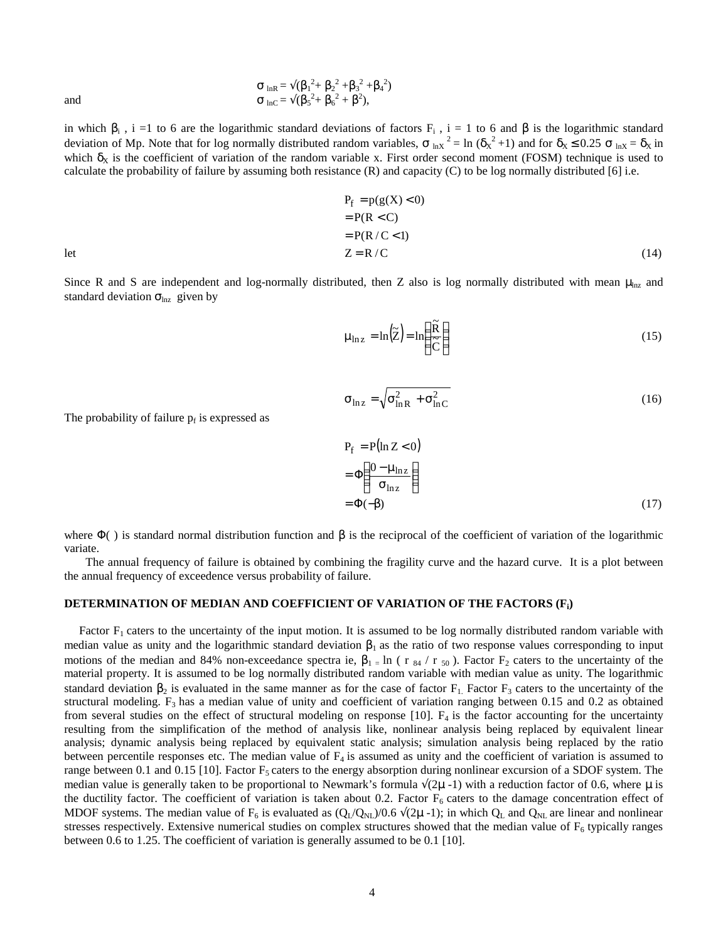$$
\sigma_{\text{ lnR}} = \sqrt{(\beta_1^2 + \beta_2^2 + \beta_3^2 + \beta_4^2)}
$$
  
and  

$$
\sigma_{\text{ lnC}} = \sqrt{(\beta_5^2 + \beta_6^2 + \beta^2)},
$$

in which  $\beta_i$ , i =1 to 6 are the logarithmic standard deviations of factors  $F_i$ , i = 1 to 6 and  $\beta$  is the logarithmic standard deviation of Mp. Note that for log normally distributed random variables,  $\sigma_{lnX}^2 = \ln(\delta_X^2 + 1)$  and for  $\delta_X \le 0.25 \sigma_{lnX} = \delta_X$  in which  $\delta_X$  is the coefficient of variation of the random variable x. First order second moment (FOSM) technique is used to calculate the probability of failure by assuming both resistance  $(R)$  and capacity  $(C)$  to be log normally distributed [6] i.e.

$$
P_{f} = p(g(X) < 0)
$$
  
= P(R < C)  
= P(R / C < 1)  
let  

$$
Z = R / C
$$
 (14)

Since R and S are independent and log-normally distributed, then Z also is log normally distributed with mean  $\mu_{lnz}$  and standard deviation  $\sigma_{\text{ln}z}$  given by

$$
\mu_{\ln z} = \ln(\tilde{Z}) = \ln\left(\frac{\tilde{R}}{\tilde{C}}\right)
$$
\n(15)

$$
\sigma_{\ln z} = \sqrt{\sigma_{\ln R}^2 + \sigma_{\ln C}^2}
$$
 (16)

The probability of failure  $p_f$  is expressed as

$$
P_{f} = P(\ln Z < 0)
$$
  
=  $\Phi\left(\frac{0 - \mu_{\ln Z}}{\sigma_{\ln Z}}\right)$   
=  $\Phi(-\beta)$  (17)

where  $\Phi$  () is standard normal distribution function and  $\beta$  is the reciprocal of the coefficient of variation of the logarithmic variate.

The annual frequency of failure is obtained by combining the fragility curve and the hazard curve. It is a plot between the annual frequency of exceedence versus probability of failure.

#### **DETERMINATION OF MEDIAN AND COEFFICIENT OF VARIATION OF THE FACTORS (Fi)**

Factor  $F_1$  caters to the uncertainty of the input motion. It is assumed to be log normally distributed random variable with median value as unity and the logarithmic standard deviation  $β_1$  as the ratio of two response values corresponding to input motions of the median and 84% non-exceedance spectra ie,  $\beta_1 = \ln(r_{84}/r_{50})$ . Factor  $F_2$  caters to the uncertainty of the material property. It is assumed to be log normally distributed random variable with median value as unity. The logarithmic standard deviation  $\beta_2$  is evaluated in the same manner as for the case of factor  $F_1$ . Factor  $F_3$  caters to the uncertainty of the structural modeling.  $F_3$  has a median value of unity and coefficient of variation ranging between 0.15 and 0.2 as obtained from several studies on the effect of structural modeling on response [10].  $F_4$  is the factor accounting for the uncertainty resulting from the simplification of the method of analysis like, nonlinear analysis being replaced by equivalent linear analysis; dynamic analysis being replaced by equivalent static analysis; simulation analysis being replaced by the ratio between percentile responses etc. The median value of  $F_4$  is assumed as unity and the coefficient of variation is assumed to range between 0.1 and 0.15 [10]. Factor  $F_5$  caters to the energy absorption during nonlinear excursion of a SDOF system. The median value is generally taken to be proportional to Newmark's formula  $\sqrt{(2\mu -1)}$  with a reduction factor of 0.6, where  $\mu$  is the ductility factor. The coefficient of variation is taken about 0.2. Factor  $F_6$  caters to the damage concentration effect of MDOF systems. The median value of F<sub>6</sub> is evaluated as  $(Q_L/Q_{NL})/0.6 \sqrt{(2\mu - 1)}$ ; in which  $Q_L$  and  $Q_{NL}$  are linear and nonlinear stresses respectively. Extensive numerical studies on complex structures showed that the median value of  $F_6$  typically ranges between 0.6 to 1.25. The coefficient of variation is generally assumed to be 0.1 [10].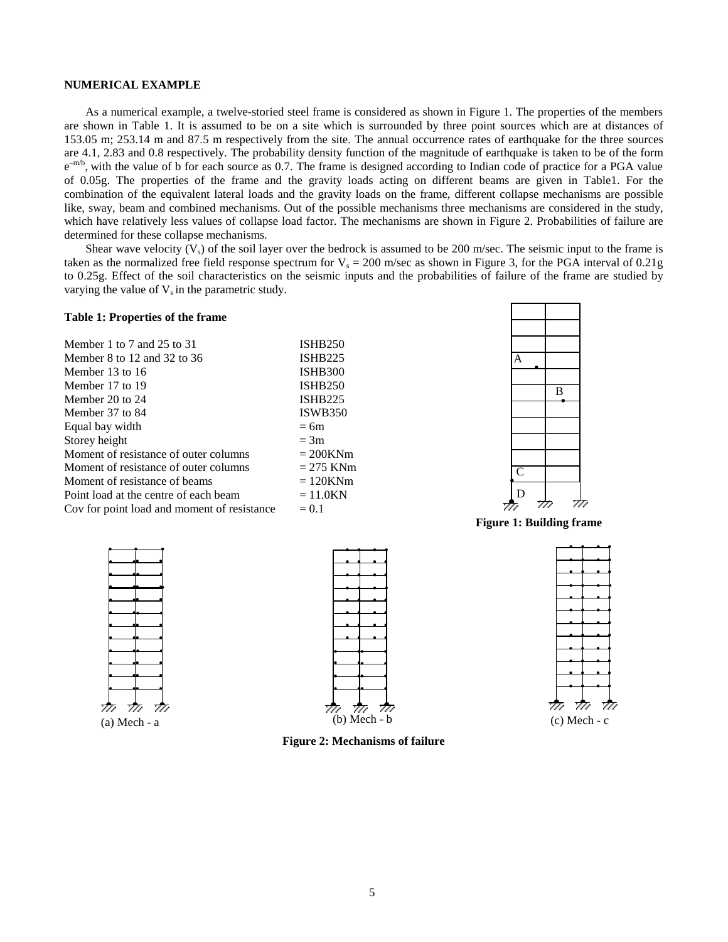#### **NUMERICAL EXAMPLE**

As a numerical example, a twelve-storied steel frame is considered as shown in Figure 1. The properties of the members are shown in Table 1. It is assumed to be on a site which is surrounded by three point sources which are at distances of 153.05 m; 253.14 m and 87.5 m respectively from the site. The annual occurrence rates of earthquake for the three sources are 4.1, 2.83 and 0.8 respectively. The probability density function of the magnitude of earthquake is taken to be of the form  $e^{-m/b}$ , with the value of b for each source as 0.7. The frame is designed according to Indian code of practice for a PGA value of 0.05g. The properties of the frame and the gravity loads acting on different beams are given in Table1. For the combination of the equivalent lateral loads and the gravity loads on the frame, different collapse mechanisms are possible like, sway, beam and combined mechanisms. Out of the possible mechanisms three mechanisms are considered in the study, which have relatively less values of collapse load factor. The mechanisms are shown in Figure 2. Probabilities of failure are determined for these collapse mechanisms.

Shear wave velocity  $(V_s)$  of the soil layer over the bedrock is assumed to be 200 m/sec. The seismic input to the frame is taken as the normalized free field response spectrum for  $V_s = 200$  m/sec as shown in Figure 3, for the PGA interval of 0.21g to 0.25g. Effect of the soil characteristics on the seismic inputs and the probabilities of failure of the frame are studied by varying the value of  $V_s$  in the parametric study.

## **Table 1: Properties of the frame**

| <b>ISHB250</b> |
|----------------|
| <b>ISHB225</b> |
| <b>ISHB300</b> |
| <b>ISHB250</b> |
| <b>ISHB225</b> |
| <b>ISWB350</b> |
| $= 6m$         |
| $=$ 3m         |
| $= 200$ KNm    |
| $= 275$ KNm    |
| $=120$ KNm     |
| $= 11.0KN$     |
| $= 0.1$        |
|                |



**Figure 1: Building frame**





**Figure 2: Mechanisms of failure**



 $\overline{\phantom{a}}$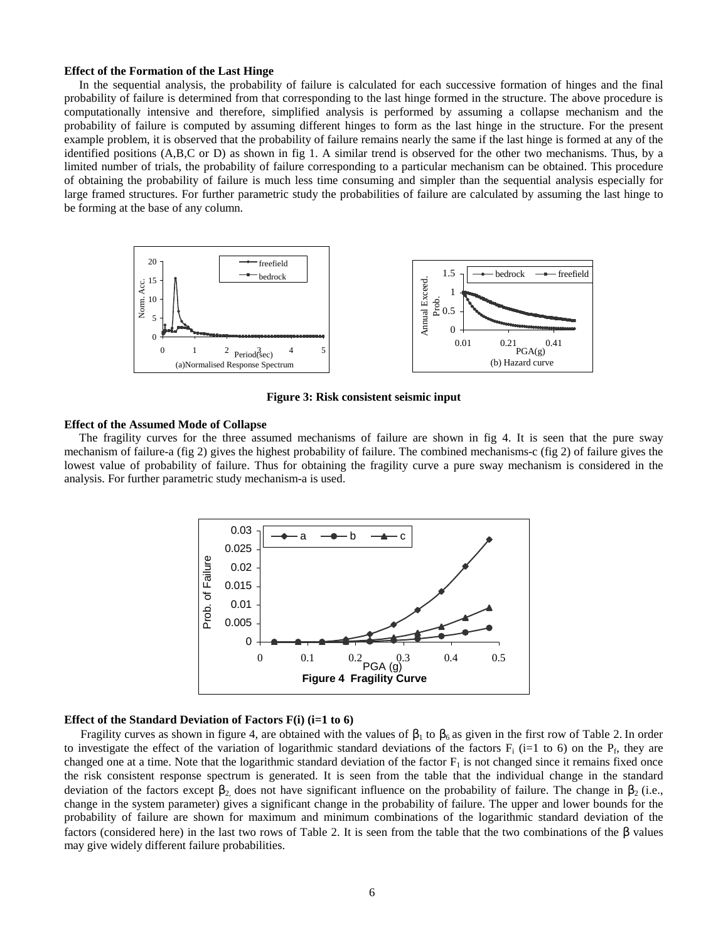#### **Effect of the Formation of the Last Hinge**

 In the sequential analysis, the probability of failure is calculated for each successive formation of hinges and the final probability of failure is determined from that corresponding to the last hinge formed in the structure. The above procedure is computationally intensive and therefore, simplified analysis is performed by assuming a collapse mechanism and the probability of failure is computed by assuming different hinges to form as the last hinge in the structure. For the present example problem, it is observed that the probability of failure remains nearly the same if the last hinge is formed at any of the identified positions (A,B,C or D) as shown in fig 1. A similar trend is observed for the other two mechanisms. Thus, by a limited number of trials, the probability of failure corresponding to a particular mechanism can be obtained. This procedure of obtaining the probability of failure is much less time consuming and simpler than the sequential analysis especially for large framed structures. For further parametric study the probabilities of failure are calculated by assuming the last hinge to be forming at the base of any column.



**Figure 3: Risk consistent seismic input**

#### **Effect of the Assumed Mode of Collapse**

 The fragility curves for the three assumed mechanisms of failure are shown in fig 4. It is seen that the pure sway mechanism of failure-a (fig 2) gives the highest probability of failure. The combined mechanisms-c (fig 2) of failure gives the lowest value of probability of failure. Thus for obtaining the fragility curve a pure sway mechanism is considered in the analysis. For further parametric study mechanism-a is used.



## **Effect of the Standard Deviation of Factors F(i) (i=1 to 6)**

Fragility curves as shown in figure 4, are obtained with the values of  $\beta_1$  to  $\beta_6$  as given in the first row of Table 2. In order to investigate the effect of the variation of logarithmic standard deviations of the factors  $F_i$  (i=1 to 6) on the  $P_f$ , they are changed one at a time. Note that the logarithmic standard deviation of the factor  $F_1$  is not changed since it remains fixed once the risk consistent response spectrum is generated. It is seen from the table that the individual change in the standard deviation of the factors except  $\beta_2$  does not have significant influence on the probability of failure. The change in  $\beta_2$  (i.e., change in the system parameter) gives a significant change in the probability of failure. The upper and lower bounds for the probability of failure are shown for maximum and minimum combinations of the logarithmic standard deviation of the factors (considered here) in the last two rows of Table 2. It is seen from the table that the two combinations of the β values may give widely different failure probabilities.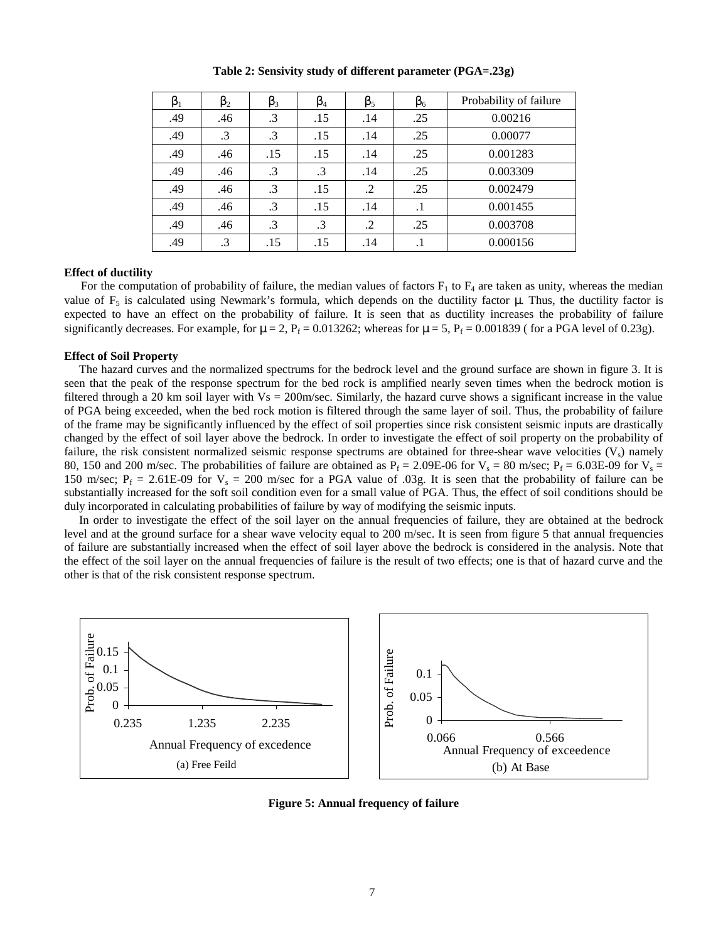**Table 2: Sensivity study of different parameter (PGA=.23g)**

| $\beta_1$ | $\beta_2$ | $\beta_3$ | $\beta_4$ | $\beta_5$ | $\beta_6$ | Probability of failure |
|-----------|-----------|-----------|-----------|-----------|-----------|------------------------|
| .49       | .46       | $\cdot$ 3 | .15       | .14       | .25       | 0.00216                |
| .49       | $\cdot$ 3 | $\cdot$ 3 | .15       | .14       | .25       | 0.00077                |
| .49       | .46       | .15       | .15       | .14       | .25       | 0.001283               |
| .49       | .46       | $\cdot$ 3 | $\cdot$ 3 | .14       | .25       | 0.003309               |
| .49       | .46       | $\cdot$ 3 | .15       | $\cdot$   | .25       | 0.002479               |
| .49       | .46       | $\cdot$ 3 | .15       | .14       | $\cdot$ 1 | 0.001455               |
| .49       | .46       | $\cdot$ 3 | $\cdot$ 3 | $\cdot$   | .25       | 0.003708               |
| .49       | $\cdot$ 3 | .15       | .15       | .14       | $\cdot$   | 0.000156               |

## **Effect of ductility**

For the computation of probability of failure, the median values of factors  $F_1$  to  $F_4$  are taken as unity, whereas the median value of  $F_5$  is calculated using Newmark's formula, which depends on the ductility factor μ. Thus, the ductility factor is expected to have an effect on the probability of failure. It is seen that as ductility increases the probability of failure significantly decreases. For example, for  $\mu = 2$ ,  $P_f = 0.013262$ ; whereas for  $\mu = 5$ ,  $P_f = 0.001839$  (for a PGA level of 0.23g).

## **Effect of Soil Property**

 The hazard curves and the normalized spectrums for the bedrock level and the ground surface are shown in figure 3. It is seen that the peak of the response spectrum for the bed rock is amplified nearly seven times when the bedrock motion is filtered through a 20 km soil layer with  $Vs = 200m/sec$ . Similarly, the hazard curve shows a significant increase in the value of PGA being exceeded, when the bed rock motion is filtered through the same layer of soil. Thus, the probability of failure of the frame may be significantly influenced by the effect of soil properties since risk consistent seismic inputs are drastically changed by the effect of soil layer above the bedrock. In order to investigate the effect of soil property on the probability of failure, the risk consistent normalized seismic response spectrums are obtained for three-shear wave velocities  $(V<sub>s</sub>)$  namely 80, 150 and 200 m/sec. The probabilities of failure are obtained as  $P_f = 2.09E-06$  for  $V_s = 80$  m/sec;  $P_f = 6.03E-09$  for  $V_s =$ 150 m/sec;  $P_f = 2.61E-09$  for  $V_s = 200$  m/sec for a PGA value of 0.03g. It is seen that the probability of failure can be substantially increased for the soft soil condition even for a small value of PGA. Thus, the effect of soil conditions should be duly incorporated in calculating probabilities of failure by way of modifying the seismic inputs.

 In order to investigate the effect of the soil layer on the annual frequencies of failure, they are obtained at the bedrock level and at the ground surface for a shear wave velocity equal to 200 m/sec. It is seen from figure 5 that annual frequencies of failure are substantially increased when the effect of soil layer above the bedrock is considered in the analysis. Note that the effect of the soil layer on the annual frequencies of failure is the result of two effects; one is that of hazard curve and the other is that of the risk consistent response spectrum.



**Figure 5: Annual frequency of failure**